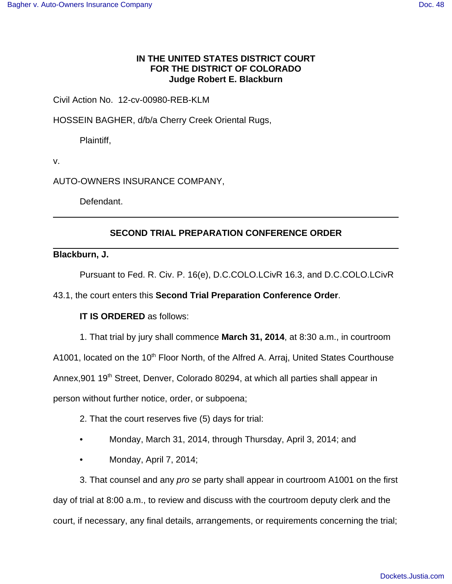### **IN THE UNITED STATES DISTRICT COURT FOR THE DISTRICT OF COLORADO Judge Robert E. Blackburn**

### Civil Action No. 12-cv-00980-REB-KLM

HOSSEIN BAGHER, d/b/a Cherry Creek Oriental Rugs,

Plaintiff,

v.

AUTO-OWNERS INSURANCE COMPANY,

Defendant.

# **SECOND TRIAL PREPARATION CONFERENCE ORDER**

#### **Blackburn, J.**

Pursuant to Fed. R. Civ. P. 16(e), D.C.COLO.LCivR 16.3, and D.C.COLO.LCivR

43.1, the court enters this **Second Trial Preparation Conference Order**.

# **IT IS ORDERED** as follows:

1. That trial by jury shall commence **March 31, 2014**, at 8:30 a.m., in courtroom

A1001, located on the 10<sup>th</sup> Floor North, of the Alfred A. Arraj, United States Courthouse

Annex, 901 19<sup>th</sup> Street, Denver, Colorado 80294, at which all parties shall appear in

person without further notice, order, or subpoena;

- 2. That the court reserves five (5) days for trial:
- Monday, March 31, 2014, through Thursday, April 3, 2014; and
- Monday, April 7, 2014;

3. That counsel and any pro se party shall appear in courtroom A1001 on the first day of trial at 8:00 a.m., to review and discuss with the courtroom deputy clerk and the court, if necessary, any final details, arrangements, or requirements concerning the trial;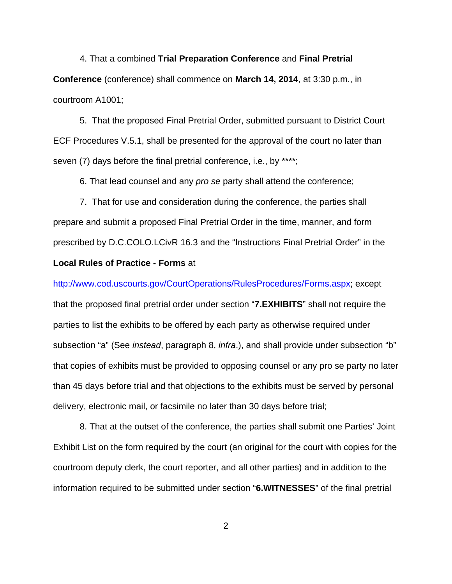4. That a combined **Trial Preparation Conference** and **Final Pretrial Conference** (conference) shall commence on **March 14, 2014**, at 3:30 p.m., in courtroom A1001;

5. That the proposed Final Pretrial Order, submitted pursuant to District Court ECF Procedures V.5.1, shall be presented for the approval of the court no later than seven (7) days before the final pretrial conference, i.e., by \*\*\*\*;

6. That lead counsel and any pro se party shall attend the conference;

7. That for use and consideration during the conference, the parties shall prepare and submit a proposed Final Pretrial Order in the time, manner, and form prescribed by D.C.COLO.LCivR 16.3 and the "Instructions Final Pretrial Order" in the **Local Rules of Practice - Forms** at

http://www.cod.uscourts.gov/CourtOperations/RulesProcedures/Forms.aspx; except that the proposed final pretrial order under section "**7.EXHIBITS**" shall not require the parties to list the exhibits to be offered by each party as otherwise required under subsection "a" (See instead, paragraph 8, infra.), and shall provide under subsection "b" that copies of exhibits must be provided to opposing counsel or any pro se party no later than 45 days before trial and that objections to the exhibits must be served by personal delivery, electronic mail, or facsimile no later than 30 days before trial;

8. That at the outset of the conference, the parties shall submit one Parties' Joint Exhibit List on the form required by the court (an original for the court with copies for the courtroom deputy clerk, the court reporter, and all other parties) and in addition to the information required to be submitted under section "**6.WITNESSES**" of the final pretrial

2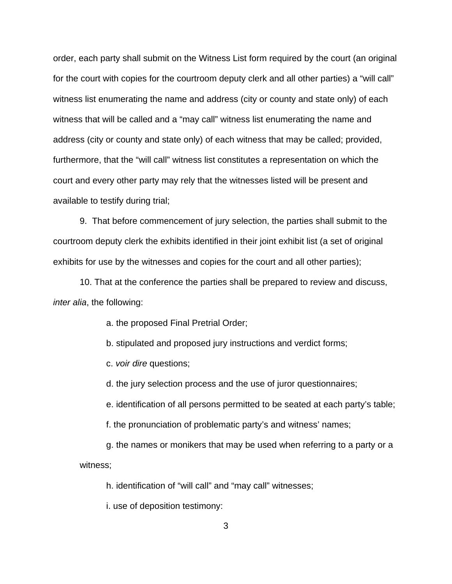order, each party shall submit on the Witness List form required by the court (an original for the court with copies for the courtroom deputy clerk and all other parties) a "will call" witness list enumerating the name and address (city or county and state only) of each witness that will be called and a "may call" witness list enumerating the name and address (city or county and state only) of each witness that may be called; provided, furthermore, that the "will call" witness list constitutes a representation on which the court and every other party may rely that the witnesses listed will be present and available to testify during trial;

9. That before commencement of jury selection, the parties shall submit to the courtroom deputy clerk the exhibits identified in their joint exhibit list (a set of original exhibits for use by the witnesses and copies for the court and all other parties);

10. That at the conference the parties shall be prepared to review and discuss, inter alia, the following:

a. the proposed Final Pretrial Order;

b. stipulated and proposed jury instructions and verdict forms;

c. voir dire questions;

d. the jury selection process and the use of juror questionnaires;

e. identification of all persons permitted to be seated at each party's table;

f. the pronunciation of problematic party's and witness' names;

g. the names or monikers that may be used when referring to a party or a witness;

h. identification of "will call" and "may call" witnesses;

i. use of deposition testimony: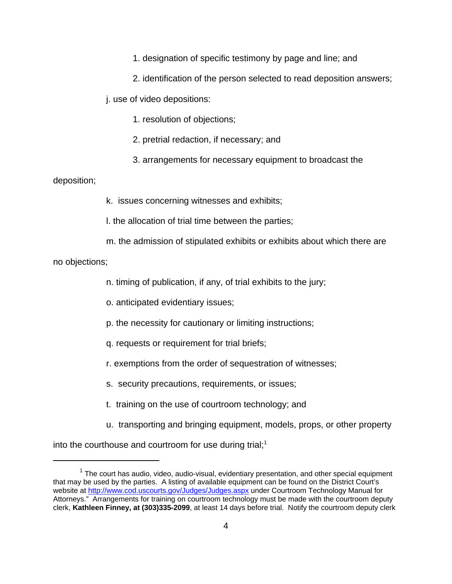1. designation of specific testimony by page and line; and

2. identification of the person selected to read deposition answers;

j. use of video depositions:

1. resolution of objections;

2. pretrial redaction, if necessary; and

3. arrangements for necessary equipment to broadcast the

deposition;

k. issues concerning witnesses and exhibits;

l. the allocation of trial time between the parties;

m. the admission of stipulated exhibits or exhibits about which there are

no objections;

n. timing of publication, if any, of trial exhibits to the jury;

o. anticipated evidentiary issues;

p. the necessity for cautionary or limiting instructions;

- q. requests or requirement for trial briefs;
- r. exemptions from the order of sequestration of witnesses;
- s. security precautions, requirements, or issues;
- t. training on the use of courtroom technology; and
- u. transporting and bringing equipment, models, props, or other property

into the courthouse and courtroom for use during trial; $<sup>1</sup>$ </sup>

 $1$  The court has audio, video, audio-visual, evidentiary presentation, and other special equipment that may be used by the parties. A listing of available equipment can be found on the District Court's website at http://www.cod.uscourts.gov/Judges/Judges.aspx under Courtroom Technology Manual for Attorneys." Arrangements for training on courtroom technology must be made with the courtroom deputy clerk, **Kathleen Finney, at (303)335-2099**, at least 14 days before trial. Notify the courtroom deputy clerk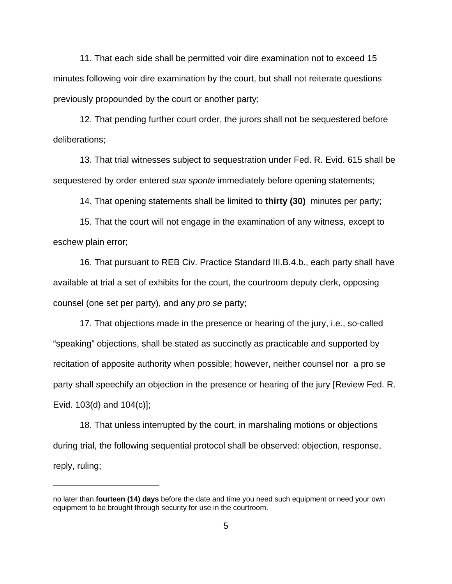11. That each side shall be permitted voir dire examination not to exceed 15 minutes following voir dire examination by the court, but shall not reiterate questions previously propounded by the court or another party;

12. That pending further court order, the jurors shall not be sequestered before deliberations;

13. That trial witnesses subject to sequestration under Fed. R. Evid. 615 shall be sequestered by order entered sua sponte immediately before opening statements;

14. That opening statements shall be limited to **thirty (30)** minutes per party;

15. That the court will not engage in the examination of any witness, except to eschew plain error;

16. That pursuant to REB Civ. Practice Standard III.B.4.b., each party shall have available at trial a set of exhibits for the court, the courtroom deputy clerk, opposing counsel (one set per party), and any pro se party;

17. That objections made in the presence or hearing of the jury, i.e., so-called "speaking" objections, shall be stated as succinctly as practicable and supported by recitation of apposite authority when possible; however, neither counsel nor a pro se party shall speechify an objection in the presence or hearing of the jury [Review Fed. R. Evid. 103(d) and 104(c)];

18. That unless interrupted by the court, in marshaling motions or objections during trial, the following sequential protocol shall be observed: objection, response, reply, ruling;

no later than **fourteen (14) days** before the date and time you need such equipment or need your own equipment to be brought through security for use in the courtroom.